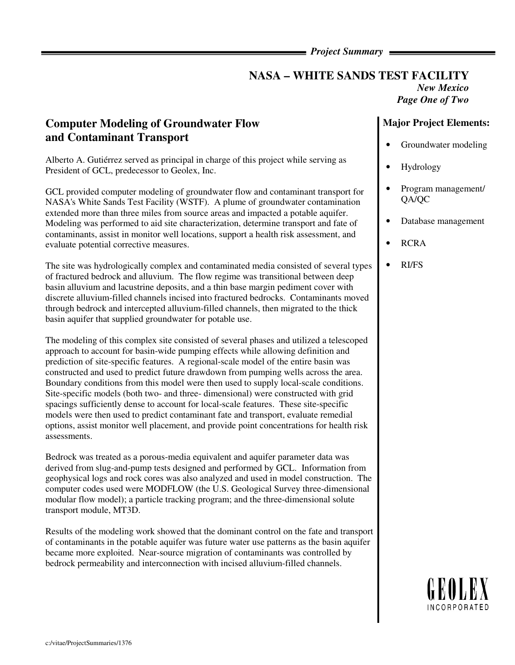### *Project Summary*

## **NASA – WHITE SANDS TEST FACILITY**  *New Mexico*

*Page One of Two* 

# **Computer Modeling of Groundwater Flow and Contaminant Transport**

Alberto A. Gutiérrez served as principal in charge of this project while serving as President of GCL, predecessor to Geolex, Inc.

GCL provided computer modeling of groundwater flow and contaminant transport for NASA's White Sands Test Facility (WSTF). A plume of groundwater contamination extended more than three miles from source areas and impacted a potable aquifer. Modeling was performed to aid site characterization, determine transport and fate of contaminants, assist in monitor well locations, support a health risk assessment, and evaluate potential corrective measures.

The site was hydrologically complex and contaminated media consisted of several types of fractured bedrock and alluvium. The flow regime was transitional between deep basin alluvium and lacustrine deposits, and a thin base margin pediment cover with discrete alluvium-filled channels incised into fractured bedrocks. Contaminants moved through bedrock and intercepted alluvium-filled channels, then migrated to the thick basin aquifer that supplied groundwater for potable use.

The modeling of this complex site consisted of several phases and utilized a telescoped approach to account for basin-wide pumping effects while allowing definition and prediction of site-specific features. A regional-scale model of the entire basin was constructed and used to predict future drawdown from pumping wells across the area. Boundary conditions from this model were then used to supply local-scale conditions. Site-specific models (both two- and three- dimensional) were constructed with grid spacings sufficiently dense to account for local-scale features. These site-specific models were then used to predict contaminant fate and transport, evaluate remedial options, assist monitor well placement, and provide point concentrations for health risk assessments.

Bedrock was treated as a porous-media equivalent and aquifer parameter data was derived from slug-and-pump tests designed and performed by GCL. Information from geophysical logs and rock cores was also analyzed and used in model construction. The computer codes used were MODFLOW (the U.S. Geological Survey three-dimensional modular flow model); a particle tracking program; and the three-dimensional solute transport module, MT3D.

Results of the modeling work showed that the dominant control on the fate and transport of contaminants in the potable aquifer was future water use patterns as the basin aquifer became more exploited. Near-source migration of contaminants was controlled by bedrock permeability and interconnection with incised alluvium-filled channels.

### **Major Project Elements:**

- Groundwater modeling
- Hydrology
- Program management/ QA/QC
- Database management
- RCRA
- RI/FS